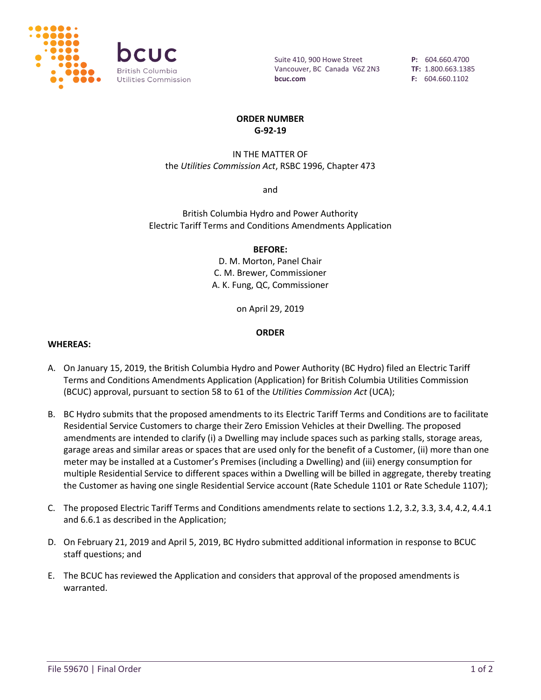

Suite 410, 900 Howe Street Vancouver, BC Canada V6Z 2N3 **bcuc.com**

**P:** 604.660.4700 **TF:** 1.800.663.1385 **F:** 604.660.1102

## **ORDER NUMBER G-92-19**

# IN THE MATTER OF the *Utilities Commission Act*, RSBC 1996, Chapter 473

and

British Columbia Hydro and Power Authority Electric Tariff Terms and Conditions Amendments Application

### **BEFORE:**

D. M. Morton, Panel Chair C. M. Brewer, Commissioner A. K. Fung, QC, Commissioner

on April 29, 2019

## **ORDER**

#### **WHEREAS:**

- A. On January 15, 2019, the British Columbia Hydro and Power Authority (BC Hydro) filed an Electric Tariff Terms and Conditions Amendments Application (Application) for British Columbia Utilities Commission (BCUC) approval, pursuant to section 58 to 61 of the *Utilities Commission Act* (UCA);
- B. BC Hydro submits that the proposed amendments to its Electric Tariff Terms and Conditions are to facilitate Residential Service Customers to charge their Zero Emission Vehicles at their Dwelling. The proposed amendments are intended to clarify (i) a Dwelling may include spaces such as parking stalls, storage areas, garage areas and similar areas or spaces that are used only for the benefit of a Customer, (ii) more than one meter may be installed at a Customer's Premises (including a Dwelling) and (iii) energy consumption for multiple Residential Service to different spaces within a Dwelling will be billed in aggregate, thereby treating the Customer as having one single Residential Service account (Rate Schedule 1101 or Rate Schedule 1107);
- C. The proposed Electric Tariff Terms and Conditions amendments relate to sections 1.2, 3.2, 3.3, 3.4, 4.2, 4.4.1 and 6.6.1 as described in the Application;
- D. On February 21, 2019 and April 5, 2019, BC Hydro submitted additional information in response to BCUC staff questions; and
- E. The BCUC has reviewed the Application and considers that approval of the proposed amendments is warranted.